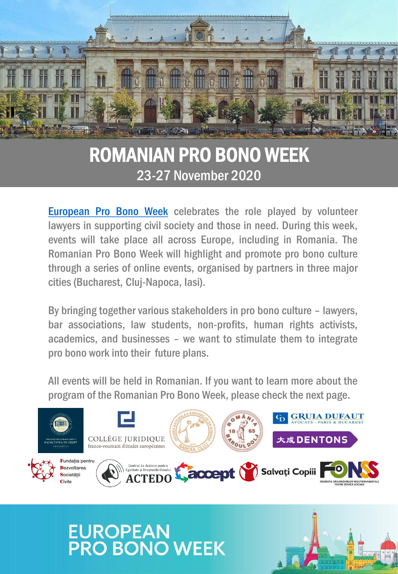

# ROMANIAN PRO BONO WEEK 23-27 November 2020

[European](https://www.europeanprobonoalliance.org/european-pro-bono-week-2020/) [Pro](https://www.europeanprobonoalliance.org/european-pro-bono-week-2020/) [Bono](https://www.europeanprobonoalliance.org/european-pro-bono-week-2020/) [Week](https://www.europeanprobonoalliance.org/european-pro-bono-week-2020/) celebrates the role played by volunteer lawyers in supporting civil society and those in need. During this week, events will take place all across Europe, including in Romania. The Romanian Pro Bono Week will highlight and promote pro bono culture through a series of online events, organised by partners in three major cities(Bucharest, Cluj-Napoca, Iasi).

By bringing together various stakeholders in pro bono culture – lawyers, bar associations, law students, non-profits, human rights activists, academics, and businesses – we want to stimulate them to integrate pro bono work into their future plans.

All events will be held in Romanian. If you want to learn more about the program of the Romanian Pro Bono Week, please check the next page.



**EUROPEAN<br>PRO BONO WEEK**